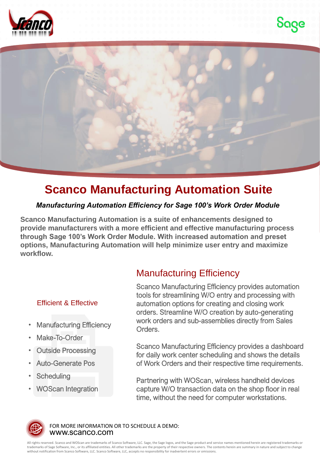





## **Scanco Manufacturing Automation Suite**

## *Manufacturing Automation Efficiency for Sage 100's Work Order Module*

**Scanco Manufacturing Automation is a suite of enhancements designed to provide manufacturers with a more efficient and effective manufacturing process through Sage 100's Work Order Module. With increased automation and preset options, Manufacturing Automation will help minimize user entry and maximize workflow.** 

## Efficient & Effective

- **Manufacturing Efficiency**
- Make-To-Order
- Outside Processing
- Auto-Generate Pos
- **Scheduling**
- WOScan Integration

## Manufacturing Efficiency

Scanco Manufacturing Efficiency provides automation tools for streamlining W/O entry and processing with automation options for creating and closing work orders. Streamline W/O creation by auto-generating work orders and sub-assemblies directly from Sales Orders.

Scanco Manufacturing Efficiency provides a dashboard for daily work center scheduling and shows the details of Work Orders and their respective time requirements.

Partnering with WOScan, wireless handheld devices capture W/O transaction data on the shop floor in real time, without the need for computer workstations.



www.scanco.com FOR MORE INFORMATION OR TO SCHEDULE A DEMO:

All rights reserved. Scanco and WOScan are trademarks of Scanco Software, LLC. Sage, the Sage logos, and the Sage product and service names mentioned herein are registered trademarks or<br>trademarks of Sage Software, Inc., o without notification from Scanco Software, LLC. Scanco Software, LLC, accepts no responsibility for inadvertent errors or omissions.